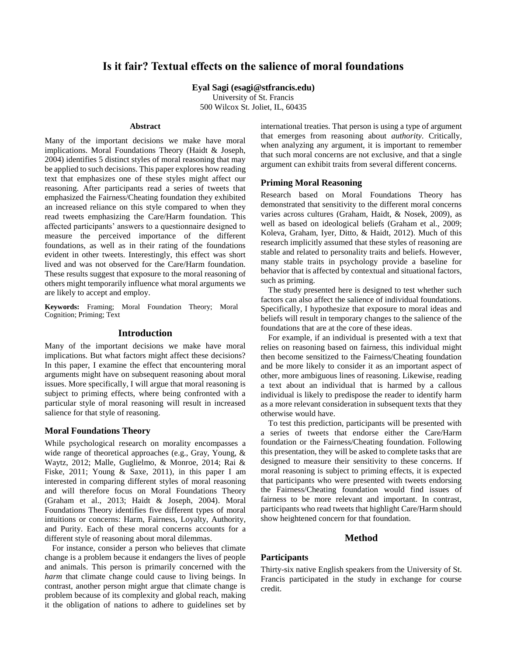# **Is it fair? Textual effects on the salience of moral foundations**

**Eyal Sagi (esagi@stfrancis.edu)**

University of St. Francis 500 Wilcox St. Joliet, IL, 60435

#### **Abstract**

Many of the important decisions we make have moral implications. Moral Foundations Theory (Haidt & Joseph, 2004) identifies 5 distinct styles of moral reasoning that may be applied to such decisions. This paper explores how reading text that emphasizes one of these styles might affect our reasoning. After participants read a series of tweets that emphasized the Fairness/Cheating foundation they exhibited an increased reliance on this style compared to when they read tweets emphasizing the Care/Harm foundation. This affected participants' answers to a questionnaire designed to measure the perceived importance of the different foundations, as well as in their rating of the foundations evident in other tweets. Interestingly, this effect was short lived and was not observed for the Care/Harm foundation. These results suggest that exposure to the moral reasoning of others might temporarily influence what moral arguments we are likely to accept and employ.

**Keywords:** Framing; Moral Foundation Theory; Moral Cognition; Priming; Text

# **Introduction**

Many of the important decisions we make have moral implications. But what factors might affect these decisions? In this paper, I examine the effect that encountering moral arguments might have on subsequent reasoning about moral issues. More specifically, I will argue that moral reasoning is subject to priming effects, where being confronted with a particular style of moral reasoning will result in increased salience for that style of reasoning.

### **Moral Foundations Theory**

While psychological research on morality encompasses a wide range of theoretical approaches (e.g., Gray, Young, & Waytz, 2012; Malle, Guglielmo, & Monroe, 2014; Rai & Fiske, 2011; Young & Saxe, 2011), in this paper I am interested in comparing different styles of moral reasoning and will therefore focus on Moral Foundations Theory (Graham et al., 2013; Haidt & Joseph, 2004). Moral Foundations Theory identifies five different types of moral intuitions or concerns: Harm, Fairness, Loyalty, Authority, and Purity. Each of these moral concerns accounts for a different style of reasoning about moral dilemmas.

For instance, consider a person who believes that climate change is a problem because it endangers the lives of people and animals. This person is primarily concerned with the *harm* that climate change could cause to living beings. In contrast, another person might argue that climate change is problem because of its complexity and global reach, making it the obligation of nations to adhere to guidelines set by international treaties. That person is using a type of argument that emerges from reasoning about *authority*. Critically, when analyzing any argument, it is important to remember that such moral concerns are not exclusive, and that a single argument can exhibit traits from several different concerns.

### **Priming Moral Reasoning**

Research based on Moral Foundations Theory has demonstrated that sensitivity to the different moral concerns varies across cultures (Graham, Haidt, & Nosek, 2009), as well as based on ideological beliefs (Graham et al., 2009; Koleva, Graham, Iyer, Ditto, & Haidt, 2012). Much of this research implicitly assumed that these styles of reasoning are stable and related to personality traits and beliefs. However, many stable traits in psychology provide a baseline for behavior that is affected by contextual and situational factors, such as priming.

The study presented here is designed to test whether such factors can also affect the salience of individual foundations. Specifically, I hypothesize that exposure to moral ideas and beliefs will result in temporary changes to the salience of the foundations that are at the core of these ideas.

For example, if an individual is presented with a text that relies on reasoning based on fairness, this individual might then become sensitized to the Fairness/Cheating foundation and be more likely to consider it as an important aspect of other, more ambiguous lines of reasoning. Likewise, reading a text about an individual that is harmed by a callous individual is likely to predispose the reader to identify harm as a more relevant consideration in subsequent texts that they otherwise would have.

To test this prediction, participants will be presented with a series of tweets that endorse either the Care/Harm foundation or the Fairness/Cheating foundation. Following this presentation, they will be asked to complete tasks that are designed to measure their sensitivity to these concerns. If moral reasoning is subject to priming effects, it is expected that participants who were presented with tweets endorsing the Fairness/Cheating foundation would find issues of fairness to be more relevant and important. In contrast, participants who read tweets that highlight Care/Harm should show heightened concern for that foundation.

# **Method**

## **Participants**

Thirty-six native English speakers from the University of St. Francis participated in the study in exchange for course credit.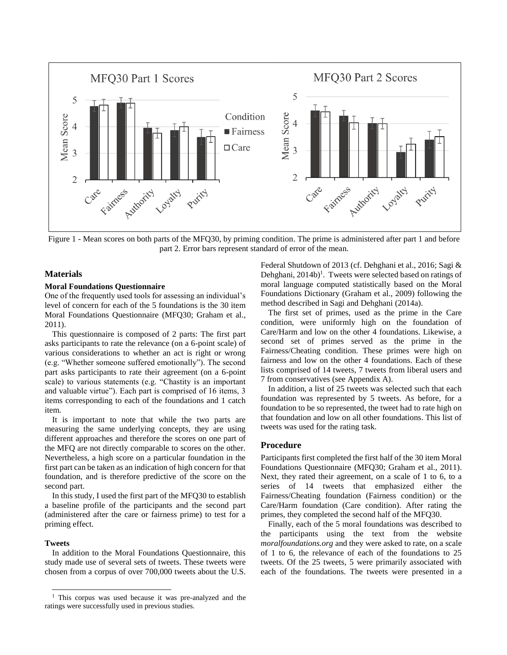

<span id="page-1-0"></span>Figure 1 - Mean scores on both parts of the MFQ30, by priming condition. The prime is administered after part 1 and before part 2. Error bars represent standard of error of the mean.

### **Materials**

#### **Moral Foundations Questionnaire**

One of the frequently used tools for assessing an individual's level of concern for each of the 5 foundations is the 30 item Moral Foundations Questionnaire (MFQ30; Graham et al., 2011).

This questionnaire is composed of 2 parts: The first part asks participants to rate the relevance (on a 6-point scale) of various considerations to whether an act is right or wrong (e.g. "Whether someone suffered emotionally"). The second part asks participants to rate their agreement (on a 6-point scale) to various statements (e.g. "Chastity is an important and valuable virtue"). Each part is comprised of 16 items, 3 items corresponding to each of the foundations and 1 catch item.

It is important to note that while the two parts are measuring the same underlying concepts, they are using different approaches and therefore the scores on one part of the MFQ are not directly comparable to scores on the other. Nevertheless, a high score on a particular foundation in the first part can be taken as an indication of high concern for that foundation, and is therefore predictive of the score on the second part.

In this study, I used the first part of the MFQ30 to establish a baseline profile of the participants and the second part (administered after the care or fairness prime) to test for a priming effect.

### **Tweets**

l

In addition to the Moral Foundations Questionnaire, this study made use of several sets of tweets. These tweets were chosen from a corpus of over 700,000 tweets about the U.S. Federal Shutdown of 2013 (cf. Dehghani et al., 2016; Sagi & Dehghani,  $2014b$ <sup>1</sup>. Tweets were selected based on ratings of moral language computed statistically based on the Moral Foundations Dictionary (Graham et al., 2009) following the method described in Sagi and Dehghani (2014a).

The first set of primes, used as the prime in the Care condition, were uniformly high on the foundation of Care/Harm and low on the other 4 foundations. Likewise, a second set of primes served as the prime in the Fairness/Cheating condition. These primes were high on fairness and low on the other 4 foundations. Each of these lists comprised of 14 tweets, 7 tweets from liberal users and 7 from conservatives (see Appendix A).

In addition, a list of 25 tweets was selected such that each foundation was represented by 5 tweets. As before, for a foundation to be so represented, the tweet had to rate high on that foundation and low on all other foundations. This list of tweets was used for the rating task.

# **Procedure**

Participants first completed the first half of the 30 item Moral Foundations Questionnaire (MFQ30; Graham et al., 2011). Next, they rated their agreement, on a scale of 1 to 6, to a series of 14 tweets that emphasized either the Fairness/Cheating foundation (Fairness condition) or the Care/Harm foundation (Care condition). After rating the primes, they completed the second half of the MFQ30.

Finally, each of the 5 moral foundations was described to the participants using the text from the website *moralfoundations.org* and they were asked to rate, on a scale of 1 to 6, the relevance of each of the foundations to 25 tweets. Of the 25 tweets, 5 were primarily associated with each of the foundations. The tweets were presented in a

<sup>&</sup>lt;sup>1</sup> This corpus was used because it was pre-analyzed and the ratings were successfully used in previous studies.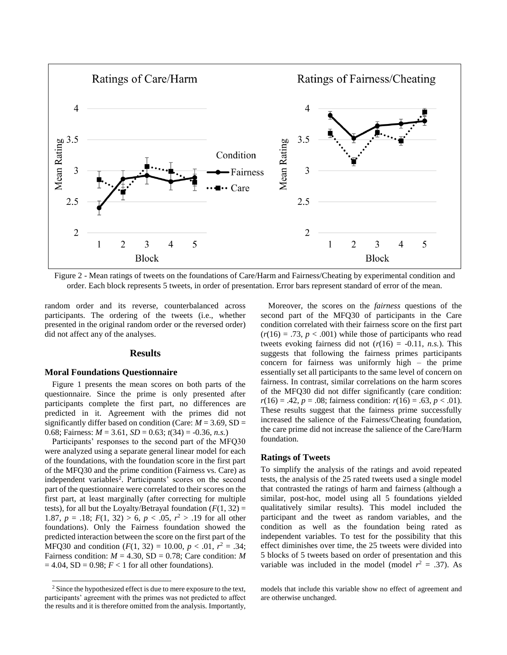

<span id="page-2-0"></span>Figure 2 - Mean ratings of tweets on the foundations of Care/Harm and Fairness/Cheating by experimental condition and order. Each block represents 5 tweets, in order of presentation. Error bars represent standard of error of the mean.

random order and its reverse, counterbalanced across participants. The ordering of the tweets (i.e., whether presented in the original random order or the reversed order) did not affect any of the analyses.

#### **Results**

#### **Moral Foundations Questionnaire**

[Figure 1](#page-1-0) presents the mean scores on both parts of the questionnaire. Since the prime is only presented after participants complete the first part, no differences are predicted in it. Agreement with the primes did not significantly differ based on condition (Care:  $M = 3.69$ , SD = 0.68; Fairness: *M* = 3.61, *SD* = 0.63; *t*(34) = -0.36, *n.s.*)

Participants' responses to the second part of the MFQ30 were analyzed using a separate general linear model for each of the foundations, with the foundation score in the first part of the MFQ30 and the prime condition (Fairness vs. Care) as independent variables<sup>2</sup>. Participants' scores on the second part of the questionnaire were correlated to their scores on the first part, at least marginally (after correcting for multiple tests), for all but the Loyalty/Betrayal foundation  $(F(1, 32))$ 1.87,  $p = .18$ ;  $F(1, 32) > 6$ ,  $p < .05$ ,  $r^2 > .19$  for all other foundations). Only the Fairness foundation showed the predicted interaction between the score on the first part of the MFQ30 and condition  $(F(1, 32) = 10.00, p < .01, r^2 = .34;$ Fairness condition:  $M = 4.30$ , SD = 0.78; Care condition: M  $= 4.04$ , SD  $= 0.98$ ;  $F < 1$  for all other foundations).

 $\overline{\phantom{a}}$ 

Moreover, the scores on the *fairness* questions of the second part of the MFQ30 of participants in the Care condition correlated with their fairness score on the first part  $(r(16) = .73, p < .001)$  while those of participants who read tweets evoking fairness did not  $(r(16) = -0.11, n.s.)$ . This suggests that following the fairness primes participants concern for fairness was uniformly high – the prime essentially set all participants to the same level of concern on fairness. In contrast, similar correlations on the harm scores of the MFQ30 did not differ significantly (care condition:  $r(16) = .42$ ,  $p = .08$ ; fairness condition:  $r(16) = .63$ ,  $p < .01$ ). These results suggest that the fairness prime successfully increased the salience of the Fairness/Cheating foundation, the care prime did not increase the salience of the Care/Harm foundation.

#### **Ratings of Tweets**

To simplify the analysis of the ratings and avoid repeated tests, the analysis of the 25 rated tweets used a single model that contrasted the ratings of harm and fairness (although a similar, post-hoc, model using all 5 foundations yielded qualitatively similar results). This model included the participant and the tweet as random variables, and the condition as well as the foundation being rated as independent variables. To test for the possibility that this effect diminishes over time, the 25 tweets were divided into 5 blocks of 5 tweets based on order of presentation and this variable was included in the model (model  $r^2 = .37$ ). As

<sup>&</sup>lt;sup>2</sup> Since the hypothesized effect is due to mere exposure to the text, participants' agreement with the primes was not predicted to affect the results and it is therefore omitted from the analysis. Importantly,

models that include this variable show no effect of agreement and are otherwise unchanged.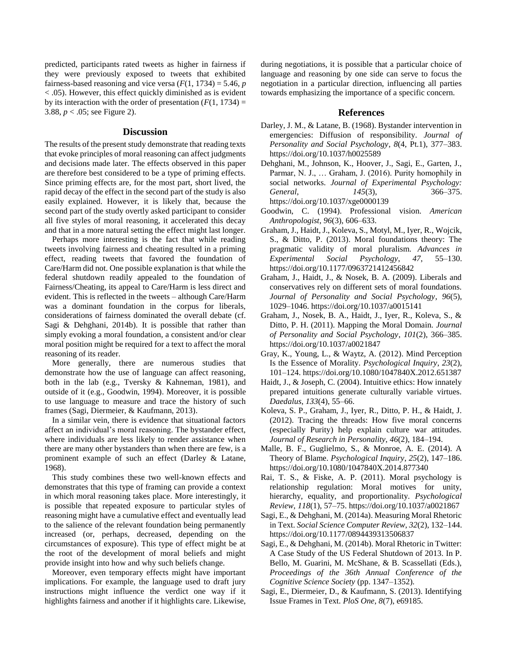predicted, participants rated tweets as higher in fairness if they were previously exposed to tweets that exhibited fairness-based reasoning and vice versa  $(F(1, 1734) = 5.46, p$ < .05). However, this effect quickly diminished as is evident by its interaction with the order of presentation  $(F(1, 1734))$  = 3.88,  $p < .05$ ; see [Figure 2\)](#page-2-0).

### **Discussion**

The results of the present study demonstrate that reading texts that evoke principles of moral reasoning can affect judgments and decisions made later. The effects observed in this paper are therefore best considered to be a type of priming effects. Since priming effects are, for the most part, short lived, the rapid decay of the effect in the second part of the study is also easily explained. However, it is likely that, because the second part of the study overtly asked participant to consider all five styles of moral reasoning, it accelerated this decay and that in a more natural setting the effect might last longer.

Perhaps more interesting is the fact that while reading tweets involving fairness and cheating resulted in a priming effect, reading tweets that favored the foundation of Care/Harm did not. One possible explanation is that while the federal shutdown readily appealed to the foundation of Fairness/Cheating, its appeal to Care/Harm is less direct and evident. This is reflected in the tweets – although Care/Harm was a dominant foundation in the corpus for liberals, considerations of fairness dominated the overall debate (cf. Sagi & Dehghani, 2014b). It is possible that rather than simply evoking a moral foundation, a consistent and/or clear moral position might be required for a text to affect the moral reasoning of its reader.

More generally, there are numerous studies that demonstrate how the use of language can affect reasoning, both in the lab (e.g., Tversky & Kahneman, 1981), and outside of it (e.g., Goodwin, 1994). Moreover, it is possible to use language to measure and trace the history of such frames (Sagi, Diermeier, & Kaufmann, 2013).

In a similar vein, there is evidence that situational factors affect an individual's moral reasoning. The bystander effect, where individuals are less likely to render assistance when there are many other bystanders than when there are few, is a prominent example of such an effect (Darley & Latane, 1968).

This study combines these two well-known effects and demonstrates that this type of framing can provide a context in which moral reasoning takes place. More interestingly, it is possible that repeated exposure to particular styles of reasoning might have a cumulative effect and eventually lead to the salience of the relevant foundation being permanently increased (or, perhaps, decreased, depending on the circumstances of exposure). This type of effect might be at the root of the development of moral beliefs and might provide insight into how and why such beliefs change.

Moreover, even temporary effects might have important implications. For example, the language used to draft jury instructions might influence the verdict one way if it highlights fairness and another if it highlights care. Likewise, during negotiations, it is possible that a particular choice of language and reasoning by one side can serve to focus the negotiation in a particular direction, influencing all parties towards emphasizing the importance of a specific concern.

### **References**

- Darley, J. M., & Latane, B. (1968). Bystander intervention in emergencies: Diffusion of responsibility. *Journal of Personality and Social Psychology*, *8*(4, Pt.1), 377–383. https://doi.org/10.1037/h0025589
- Dehghani, M., Johnson, K., Hoover, J., Sagi, E., Garten, J., Parmar, N. J., … Graham, J. (2016). Purity homophily in social networks. *Journal of Experimental Psychology: General*, *145*(3), 366–375. https://doi.org/10.1037/xge0000139
- Goodwin, C. (1994). Professional vision. *American Anthropologist*, *96*(3), 606–633.
- Graham, J., Haidt, J., Koleva, S., Motyl, M., Iyer, R., Wojcik, S., & Ditto, P. (2013). Moral foundations theory: The pragmatic validity of moral pluralism. *Advances in Experimental Social Psychology*, *47*, 55–130. https://doi.org/10.1177/0963721412456842
- Graham, J., Haidt, J., & Nosek, B. A. (2009). Liberals and conservatives rely on different sets of moral foundations. *Journal of Personality and Social Psychology*, *96*(5), 1029–1046. https://doi.org/10.1037/a0015141
- Graham, J., Nosek, B. A., Haidt, J., Iyer, R., Koleva, S., & Ditto, P. H. (2011). Mapping the Moral Domain. *Journal of Personality and Social Psychology*, *101*(2), 366–385. https://doi.org/10.1037/a0021847
- Gray, K., Young, L., & Waytz, A. (2012). Mind Perception Is the Essence of Morality. *Psychological Inquiry*, *23*(2), 101–124. https://doi.org/10.1080/1047840X.2012.651387
- Haidt, J., & Joseph, C. (2004). Intuitive ethics: How innately prepared intuitions generate culturally variable virtues. *Daedalus*, *133*(4), 55–66.
- Koleva, S. P., Graham, J., Iyer, R., Ditto, P. H., & Haidt, J. (2012). Tracing the threads: How five moral concerns (especially Purity) help explain culture war attitudes. *Journal of Research in Personality*, *46*(2), 184–194.
- Malle, B. F., Guglielmo, S., & Monroe, A. E. (2014). A Theory of Blame. *Psychological Inquiry*, *25*(2), 147–186. https://doi.org/10.1080/1047840X.2014.877340
- Rai, T. S., & Fiske, A. P. (2011). Moral psychology is relationship regulation: Moral motives for unity, hierarchy, equality, and proportionality. *Psychological Review*, *118*(1), 57–75. https://doi.org/10.1037/a0021867
- Sagi, E., & Dehghani, M. (2014a). Measuring Moral Rhetoric in Text. *Social Science Computer Review*, *32*(2), 132–144. https://doi.org/10.1177/0894439313506837
- Sagi, E., & Dehghani, M. (2014b). Moral Rhetoric in Twitter: A Case Study of the US Federal Shutdown of 2013. In P. Bello, M. Guarini, M. McShane, & B. Scassellati (Eds.), *Proceedings of the 36th Annual Conference of the Cognitive Science Society* (pp. 1347–1352).
- Sagi, E., Diermeier, D., & Kaufmann, S. (2013). Identifying Issue Frames in Text. *PloS One*, *8*(7), e69185.